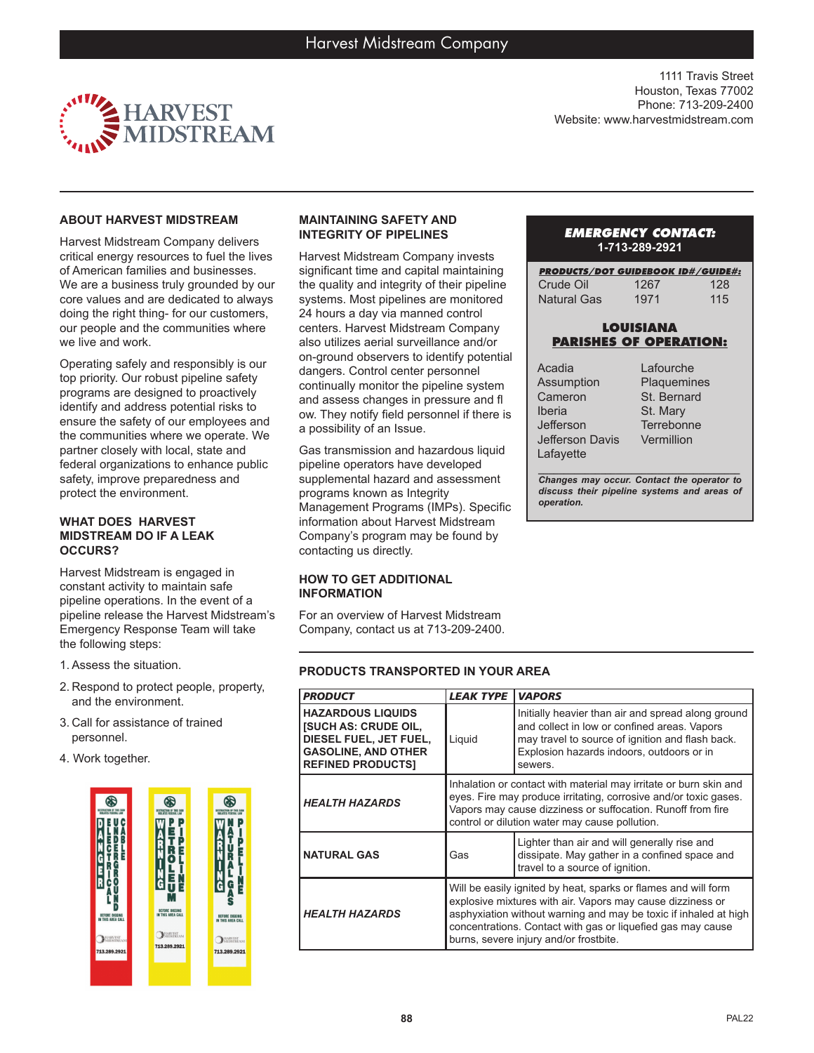

1111 Travis Street Houston, Texas 77002 Phone: 713-209-2400 Website: www.harvestmidstream.com

## **ABOUT HARVEST MIDSTREAM**

Harvest Midstream Company delivers critical energy resources to fuel the lives of American families and businesses. We are a business truly grounded by our core values and are dedicated to always doing the right thing- for our customers, our people and the communities where we live and work.

Operating safely and responsibly is our top priority. Our robust pipeline safety programs are designed to proactively identify and address potential risks to ensure the safety of our employees and the communities where we operate. We partner closely with local, state and federal organizations to enhance public safety, improve preparedness and protect the environment.

#### **WHAT DOES HARVEST MIDSTREAM DO IF A LEAK OCCURS?**

Harvest Midstream is engaged in constant activity to maintain safe pipeline operations. In the event of a pipeline release the Harvest Midstream's Emergency Response Team will take the following steps:

- 1.Assess the situation.
- 2. Respond to protect people, property, and the environment.
- 3. Call for assistance of trained personnel.
- 4. Work together.



# **MAINTAINING SAFETY AND INTEGRITY OF PIPELINES**

Harvest Midstream Company invests significant time and capital maintaining the quality and integrity of their pipeline systems. Most pipelines are monitored 24 hours a day via manned control centers. Harvest Midstream Company also utilizes aerial surveillance and/or on-ground observers to identify potential dangers. Control center personnel continually monitor the pipeline system and assess changes in pressure and fl ow. They notify field personnel if there is a possibility of an Issue.

Gas transmission and hazardous liquid pipeline operators have developed supplemental hazard and assessment programs known as Integrity Management Programs (IMPs). Specific information about Harvest Midstream Company's program may be found by contacting us directly.

## **HOW TO GET ADDITIONAL INFORMATION**

For an overview of Harvest Midstream Company, contact us at 713-209-2400.

#### *EMERGENCY CONTACT:* **1-713-289-2921**

| <b>PRODUCTS/DOT GUIDEBOOK ID#/GUIDE#:</b> |      |     |
|-------------------------------------------|------|-----|
| Crude Oil                                 | 1267 | 128 |
| Natural Gas                               | 1971 | 115 |

# **LOUISIANA PARISHES OF OPERATION:**

| Acadia          | Lafou  |
|-----------------|--------|
| Assumption      | Plaqu  |
| Cameron         | St. Be |
| Iberia          | St. Ma |
| Jefferson       | Terrel |
| Jefferson Davis | Vermi  |
| Lafavette       |        |
|                 |        |

rche emines ernard ary bonne illion

*\_\_\_\_\_\_\_\_\_\_\_\_\_\_\_\_\_\_\_\_\_\_\_\_\_\_\_\_\_\_\_\_\_\_\_\_\_\_\_ Changes may occur. Contact the operator to discuss their pipeline systems and areas of operation.*

## **PRODUCTS TRANSPORTED IN YOUR AREA**

| <b>PRODUCT</b>                                                                                                                              | <b>LEAK TYPE</b>                                                                                                                                                                                                                                                                                          | <b>VAPORS</b>                                                                                                                                                                                                  |
|---------------------------------------------------------------------------------------------------------------------------------------------|-----------------------------------------------------------------------------------------------------------------------------------------------------------------------------------------------------------------------------------------------------------------------------------------------------------|----------------------------------------------------------------------------------------------------------------------------------------------------------------------------------------------------------------|
| <b>HAZARDOUS LIQUIDS</b><br><b>ISUCH AS: CRUDE OIL,</b><br>DIESEL FUEL, JET FUEL,<br><b>GASOLINE, AND OTHER</b><br><b>REFINED PRODUCTS]</b> | Liguid                                                                                                                                                                                                                                                                                                    | Initially heavier than air and spread along ground<br>and collect in low or confined areas. Vapors<br>may travel to source of ignition and flash back.<br>Explosion hazards indoors, outdoors or in<br>sewers. |
| <b>HEALTH HAZARDS</b>                                                                                                                       | Inhalation or contact with material may irritate or burn skin and<br>eyes. Fire may produce irritating, corrosive and/or toxic gases.<br>Vapors may cause dizziness or suffocation. Runoff from fire<br>control or dilution water may cause pollution.                                                    |                                                                                                                                                                                                                |
| <b>NATURAL GAS</b>                                                                                                                          | Gas                                                                                                                                                                                                                                                                                                       | Lighter than air and will generally rise and<br>dissipate. May gather in a confined space and<br>travel to a source of ignition.                                                                               |
| <b>HEALTH HAZARDS</b>                                                                                                                       | Will be easily ignited by heat, sparks or flames and will form<br>explosive mixtures with air. Vapors may cause dizziness or<br>asphyxiation without warning and may be toxic if inhaled at high<br>concentrations. Contact with gas or liquefied gas may cause<br>burns, severe injury and/or frostbite. |                                                                                                                                                                                                                |